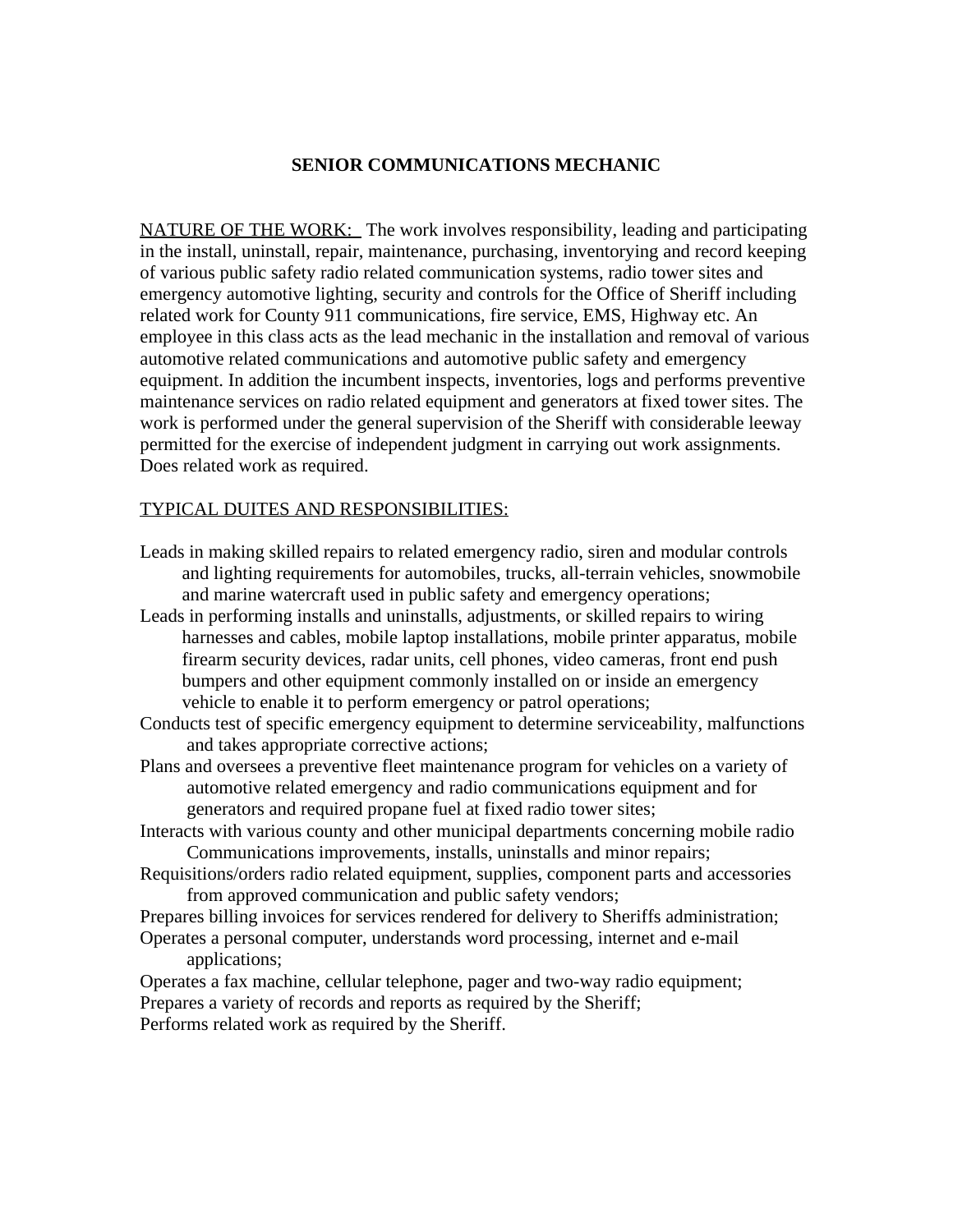#### **SENIOR COMMUNICATIONS MECHANIC**

NATURE OF THE WORK: The work involves responsibility, leading and participating in the install, uninstall, repair, maintenance, purchasing, inventorying and record keeping of various public safety radio related communication systems, radio tower sites and emergency automotive lighting, security and controls for the Office of Sheriff including related work for County 911 communications, fire service, EMS, Highway etc. An employee in this class acts as the lead mechanic in the installation and removal of various automotive related communications and automotive public safety and emergency equipment. In addition the incumbent inspects, inventories, logs and performs preventive maintenance services on radio related equipment and generators at fixed tower sites. The work is performed under the general supervision of the Sheriff with considerable leeway permitted for the exercise of independent judgment in carrying out work assignments. Does related work as required.

#### TYPICAL DUITES AND RESPONSIBILITIES:

- Leads in making skilled repairs to related emergency radio, siren and modular controls and lighting requirements for automobiles, trucks, all-terrain vehicles, snowmobile and marine watercraft used in public safety and emergency operations;
- Leads in performing installs and uninstalls, adjustments, or skilled repairs to wiring harnesses and cables, mobile laptop installations, mobile printer apparatus, mobile firearm security devices, radar units, cell phones, video cameras, front end push bumpers and other equipment commonly installed on or inside an emergency vehicle to enable it to perform emergency or patrol operations;
- Conducts test of specific emergency equipment to determine serviceability, malfunctions and takes appropriate corrective actions;
- Plans and oversees a preventive fleet maintenance program for vehicles on a variety of automotive related emergency and radio communications equipment and for generators and required propane fuel at fixed radio tower sites;
- Interacts with various county and other municipal departments concerning mobile radio Communications improvements, installs, uninstalls and minor repairs;
- Requisitions/orders radio related equipment, supplies, component parts and accessories from approved communication and public safety vendors;
- Prepares billing invoices for services rendered for delivery to Sheriffs administration; Operates a personal computer, understands word processing, internet and e-mail applications;
- Operates a fax machine, cellular telephone, pager and two-way radio equipment; Prepares a variety of records and reports as required by the Sheriff; Performs related work as required by the Sheriff.